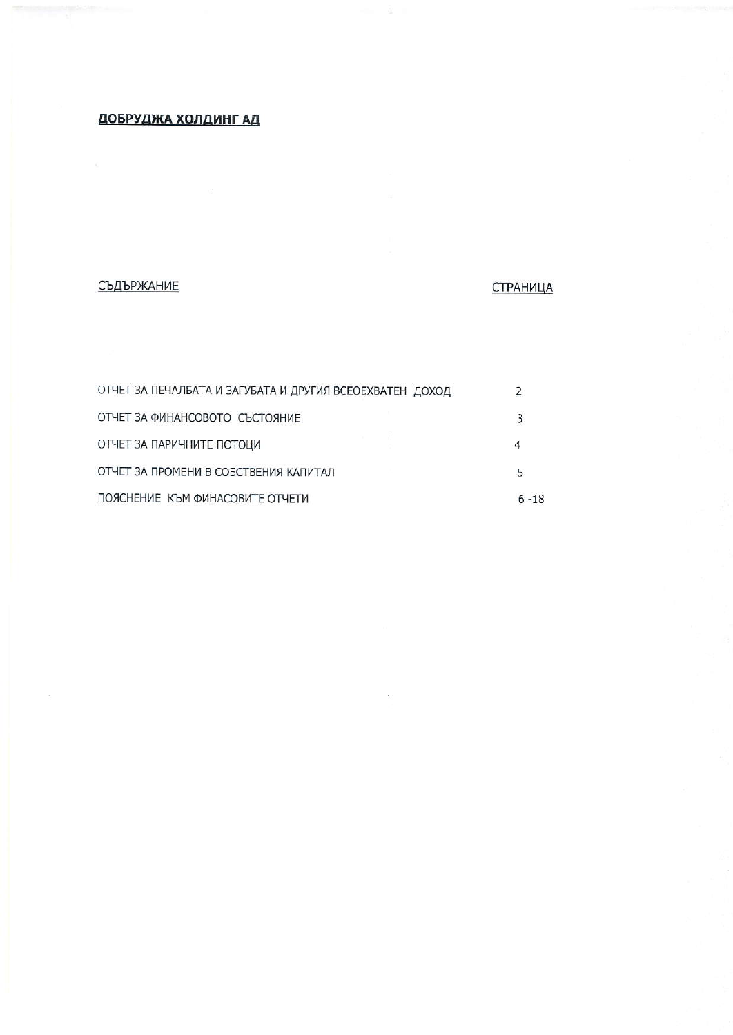## ДОБРУДЖА ХОЛДИНГ АД

#### СЪДЪРЖАНИЕ

#### СТРАНИЦА

| ОТЧЕТ ЗА ПЕЧАЛБАТА И ЗАГУБАТА И ДРУГИЯ ВСЕОБХВАТЕН ДОХОД |          |
|----------------------------------------------------------|----------|
| ОТЧЕТ ЗА ФИНАНСОВОТО СЪСТОЯНИЕ                           | 3        |
| ОТЧЕТ ЗА ПАРИЧНИТЕ ПОТОЦИ                                |          |
| ОТЧЕТ ЗА ПРОМЕНИ В СОБСТВЕНИЯ КАПИТАЛ                    | 5        |
| ПОЯСНЕНИЕ КЪМ ФИНАСОВИТЕ ОТЧЕТИ                          | $6 - 18$ |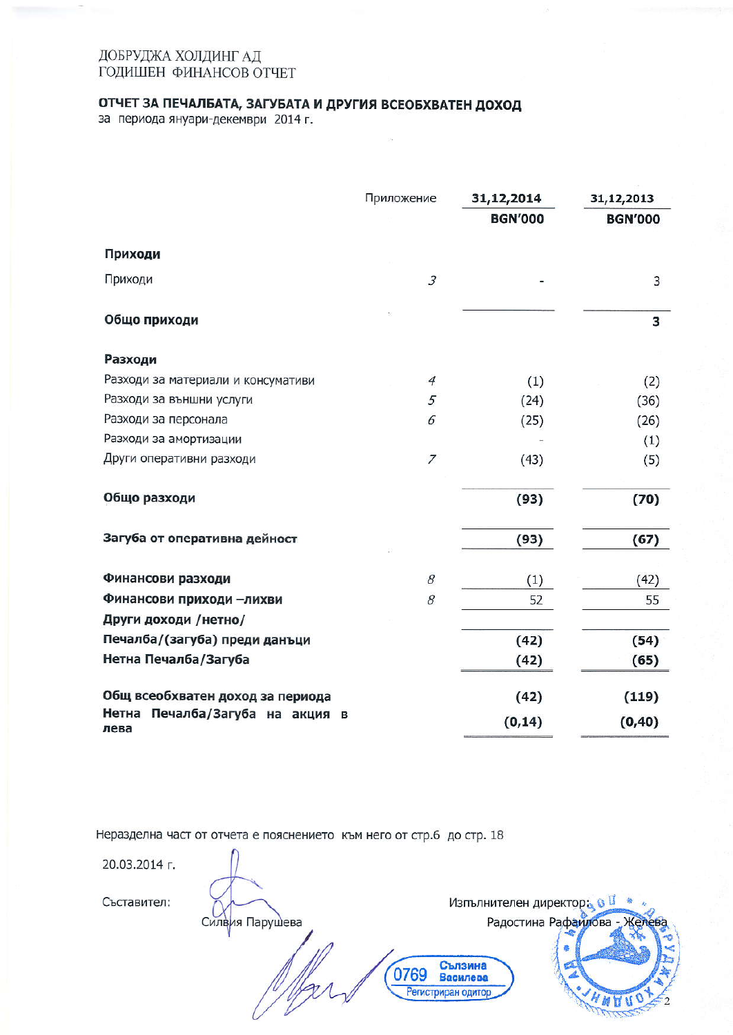# ОТЧЕТ ЗА ПЕЧАЛБАТА, ЗАГУБАТА И ДРУГИЯ ВСЕОБХВАТЕН ДОХОД

за периода януари-декември 2014 г.

|                                         | Приложение     | 31,12,2014     | 31,12,2013     |  |
|-----------------------------------------|----------------|----------------|----------------|--|
|                                         |                | <b>BGN'000</b> | <b>BGN'000</b> |  |
| Приходи                                 |                |                |                |  |
| Приходи                                 | $\overline{3}$ |                | 3              |  |
| Общо приходи                            |                |                | 3              |  |
| Разходи                                 |                |                |                |  |
| Разходи за материали и консумативи      | $\overline{4}$ | (1)            | (2)            |  |
| Разходи за външни услуги                | 5              | (24)           | (36)           |  |
| Разходи за персонала                    | 6              | (25)           | (26)           |  |
| Разходи за амортизации                  |                |                | (1)            |  |
| Други оперативни разходи                | $\overline{z}$ | (43)           | (5)            |  |
| Общо разходи                            |                | (93)           | (70)           |  |
| Загуба от оперативна дейност            |                | (93)           | (67)           |  |
| Финансови разходи                       | $\mathcal S$   | (1)            | (42)           |  |
| Финансови приходи -лихви                | 8              | 52             | 55             |  |
| Други доходи /нетно/                    |                |                |                |  |
| Печалба/(загуба) преди данъци           |                | (42)           | (54)           |  |
| Нетна Печалба/Загуба                    |                | (42)           | (65)           |  |
| Общ всеобхватен доход за периода        |                | (42)           | (119)          |  |
| Нетна Печалба/Загуба на акция в<br>лева |                | (0, 14)        | (0, 40)        |  |

0769

Неразделна част от отчета е пояснението към него от стр.6 до стр. 18

Силвия Парушева

20.03.2014 г.

Съставител:

Изпълнителен директор & 0 Радостина Рафаилова Сълзина Василева Регистриран одитор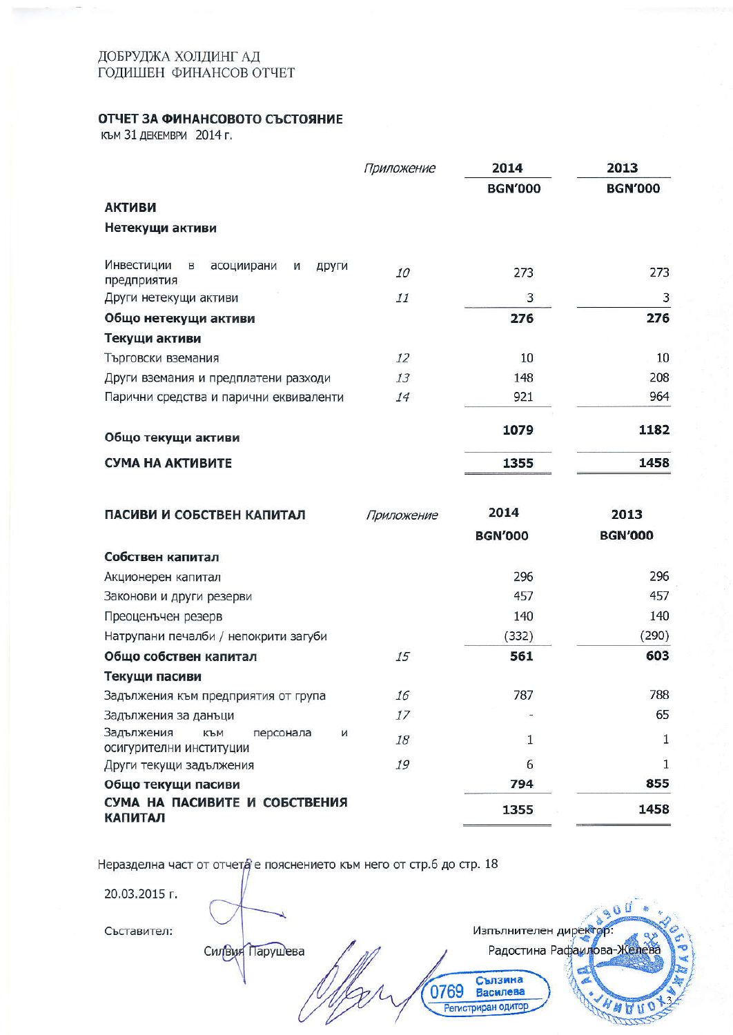#### ОТЧЕТ ЗА ФИНАНСОВОТО СЪСТОЯНИЕ

КЪМ 31 ДЕКЕМВРИ 2014 г.

|                                                                 | Приложение | 2014           | 2013           |  |
|-----------------------------------------------------------------|------------|----------------|----------------|--|
|                                                                 |            | <b>BGN'000</b> | <b>BGN'000</b> |  |
| <b>АКТИВИ</b>                                                   |            |                |                |  |
| Нетекущи активи                                                 |            |                |                |  |
| Инвестиции<br>$\,$ B<br>асоциирани<br>други<br>И<br>предприятия | 10         | 273            | 273            |  |
| Други нетекущи активи                                           | 11         | 3              | 3              |  |
| Общо нетекущи активи                                            |            | 276            | 276            |  |
| Текущи активи                                                   |            |                |                |  |
| Търговски вземания                                              | 12         | 10             | 10             |  |
| Други вземания и предплатени разходи                            | 13         | 148            | 208            |  |
| Парични средства и парични еквиваленти                          | 14         | 921            | 964            |  |
| Общо текущи активи                                              |            | 1079           | 1182           |  |
| СУМА НА АКТИВИТЕ                                                |            | 1355           | 1458           |  |

| ПАСИВИ И СОБСТВЕН КАПИТАЛ                                      | Приложение | 2014           | 2013           |
|----------------------------------------------------------------|------------|----------------|----------------|
|                                                                |            | <b>BGN'000</b> | <b>BGN'000</b> |
| Собствен капитал                                               |            |                |                |
| Акционерен капитал                                             |            | 296            | 296            |
| Законови и други резерви                                       |            | 457            | 457            |
| Преоценъчен резерв                                             |            | 140            | 140            |
| Натрупани печалби / непокрити загуби                           |            | (332)          | (290)          |
| Общо собствен капитал                                          | 15         | 561            | 603            |
| Текущи пасиви                                                  |            |                |                |
| Задължения към предприятия от група                            | 16         | 787            | 788            |
| Задължения за данъци                                           | 17         |                | 65             |
| Задължения<br>персонала<br>N<br>КЪМ<br>осигурителни институции | 18         |                |                |
| Други текущи задължения                                        | 19         | 6              | $\mathbf{1}$   |
| Общо текущи пасиви                                             |            | 794            | 855            |
| СУМА НА ПАСИВИТЕ И СОБСТВЕНИЯ<br><b>КАПИТАЛ</b>                |            | 1355           | 1458           |

ū

**M** 

Изпълнителен директор:

Сълзина

Василева Регистриран одитор

0769

Радостина Рафаилова-Желев

Неразделна част от отчета е пояснението към него от стр.6 до стр. 18

Силвия Парушева

20.03.2015 г.

Съставител: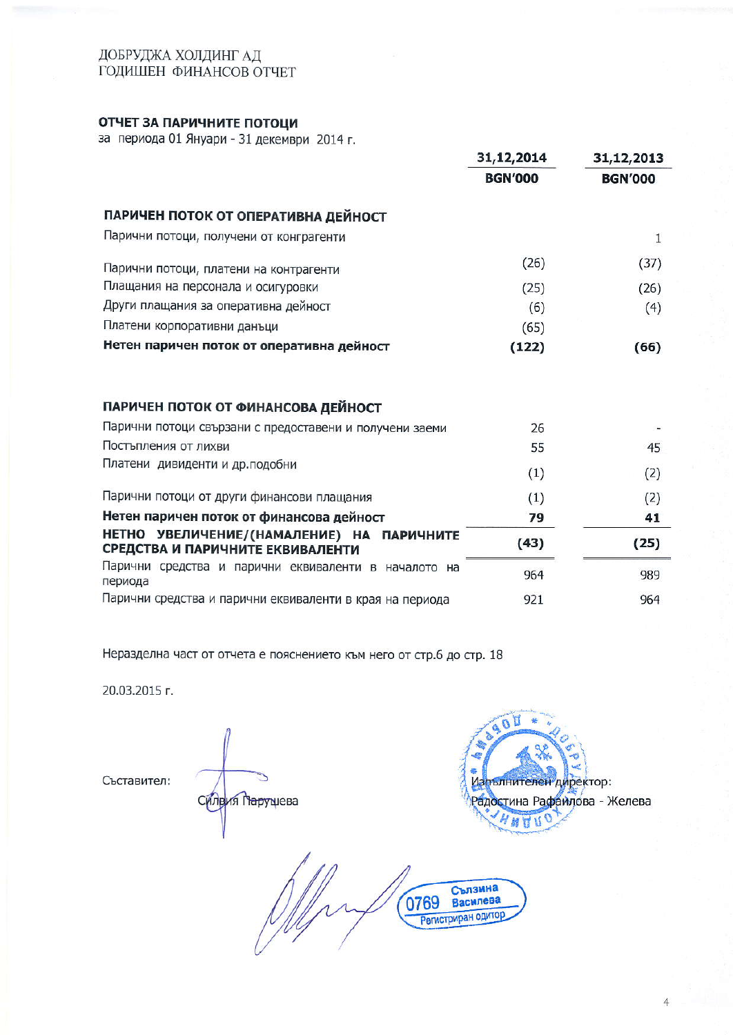## ОТЧЕТ ЗА ПАРИЧНИТЕ ПОТОЦИ

за периода 01 Януари - 31 декември 2014 г.

|                                                                                | 31,12,2014     | 31,12,2013     |
|--------------------------------------------------------------------------------|----------------|----------------|
|                                                                                | <b>BGN'000</b> | <b>BGN'000</b> |
| ПАРИЧЕН ПОТОК ОТ ОПЕРАТИВНА ДЕЙНОСТ<br>Парични потоци, получени от конграгенти |                | 1              |
| Парични потоци, платени на контрагенти                                         | (26)           | (37)           |
| Плащания на персонала и осигуровки                                             | (25)           | (26)           |
| Други плащания за оперативна дейност                                           | (6)            | (4)            |
| Платени корпоративни данъци                                                    | (65)           |                |
| Нетен паричен поток от оперативна дейност                                      | (122)          | (66)           |
| ПАРИЧЕН ПОТОК ОТ ФИНАНСОВА ДЕЙНОСТ                                             |                |                |
| Парични потоци свързани с предоставени и получени заеми                        | 26             |                |
| Постъпления от лихви                                                           | 55             | 45             |
| Платени дивиденти и др. подобни                                                | (1)            | (2)            |
| Парични потоци от други финансови плащания                                     | (1)            | (2)            |
| Нетен паричен поток от финансова дейност                                       | 79             | 41             |
| НЕТНО УВЕЛИЧЕНИЕ/(НАМАЛЕНИЕ) НА ПАРИЧНИТЕ<br>СРЕДСТВА И ПАРИЧНИТЕ ЕКВИВАЛЕНТИ  | (43)           | (25)           |
| Парични средства и парични еквиваленти в началото на<br>периода                | 964            | 989            |
| Парични средства и парични еквиваленти в края на периода                       | 921            | 964            |

Неразделна част от отчета е пояснението към него от стр.6 до стр. 18

20.03.2015 г.

Съставител:

Силвия Гарушева



 $\overline{4}$ 

Сълзина 0769 Backness Рагистриран одитор